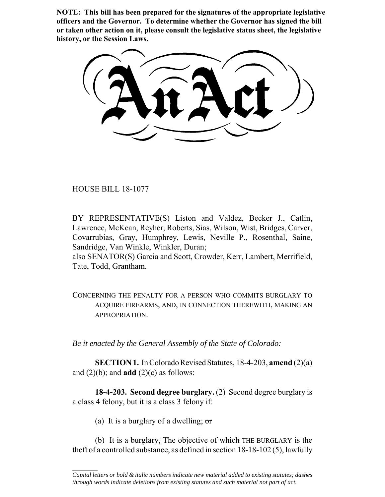**NOTE: This bill has been prepared for the signatures of the appropriate legislative officers and the Governor. To determine whether the Governor has signed the bill or taken other action on it, please consult the legislative status sheet, the legislative history, or the Session Laws.**

HOUSE BILL 18-1077

BY REPRESENTATIVE(S) Liston and Valdez, Becker J., Catlin, Lawrence, McKean, Reyher, Roberts, Sias, Wilson, Wist, Bridges, Carver, Covarrubias, Gray, Humphrey, Lewis, Neville P., Rosenthal, Saine, Sandridge, Van Winkle, Winkler, Duran;

also SENATOR(S) Garcia and Scott, Crowder, Kerr, Lambert, Merrifield, Tate, Todd, Grantham.

CONCERNING THE PENALTY FOR A PERSON WHO COMMITS BURGLARY TO ACQUIRE FIREARMS, AND, IN CONNECTION THEREWITH, MAKING AN APPROPRIATION.

*Be it enacted by the General Assembly of the State of Colorado:*

**SECTION 1.** In Colorado Revised Statutes, 18-4-203, **amend** (2)(a) and  $(2)(b)$ ; and **add**  $(2)(c)$  as follows:

**18-4-203. Second degree burglary.** (2) Second degree burglary is a class 4 felony, but it is a class 3 felony if:

(a) It is a burglary of a dwelling;  $\sigma$ 

 $\frac{1}{2}$ 

(b) It is a burglary, The objective of which THE BURGLARY is the theft of a controlled substance, as defined in section 18-18-102 (5), lawfully

*Capital letters or bold & italic numbers indicate new material added to existing statutes; dashes through words indicate deletions from existing statutes and such material not part of act.*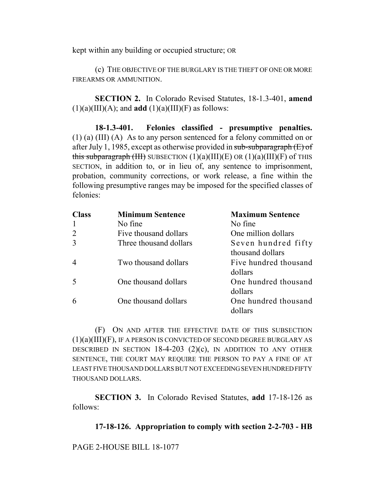kept within any building or occupied structure; OR

(c) THE OBJECTIVE OF THE BURGLARY IS THE THEFT OF ONE OR MORE FIREARMS OR AMMUNITION.

**SECTION 2.** In Colorado Revised Statutes, 18-1.3-401, **amend**  $(1)(a)(III)(A)$ ; and **add**  $(1)(a)(III)(F)$  as follows:

**18-1.3-401. Felonies classified - presumptive penalties.** (1) (a) (III) (A) As to any person sentenced for a felony committed on or after July 1, 1985, except as otherwise provided in sub-subparagraph  $(E)$  of this subparagraph (III) SUBSECTION  $(1)(a)(III)(E)$  OR  $(1)(a)(III)(F)$  of THIS SECTION, in addition to, or in lieu of, any sentence to imprisonment, probation, community corrections, or work release, a fine within the following presumptive ranges may be imposed for the specified classes of felonies:

| Class) | <b>Minimum Sentence</b> | <b>Maximum Sentence</b> |
|--------|-------------------------|-------------------------|
|        | No fine                 | No fine                 |
|        | Five thousand dollars   | One million dollars     |
|        | Three thousand dollars  | Seven hundred fifty     |
|        |                         | thousand dollars        |
|        | Two thousand dollars    | Five hundred thousand   |
|        |                         | dollars                 |
|        | One thousand dollars    | One hundred thousand    |
|        |                         | dollars                 |
|        | One thousand dollars    | One hundred thousand    |
|        |                         | dollars                 |

(F) ON AND AFTER THE EFFECTIVE DATE OF THIS SUBSECTION  $(1)(a)(III)(F)$ , IF A PERSON IS CONVICTED OF SECOND DEGREE BURGLARY AS DESCRIBED IN SECTION  $18-4-203$   $(2)(c)$ , IN ADDITION TO ANY OTHER SENTENCE, THE COURT MAY REQUIRE THE PERSON TO PAY A FINE OF AT LEAST FIVE THOUSAND DOLLARS BUT NOT EXCEEDING SEVEN HUNDRED FIFTY THOUSAND DOLLARS.

**SECTION 3.** In Colorado Revised Statutes, **add** 17-18-126 as follows:

**17-18-126. Appropriation to comply with section 2-2-703 - HB**

PAGE 2-HOUSE BILL 18-1077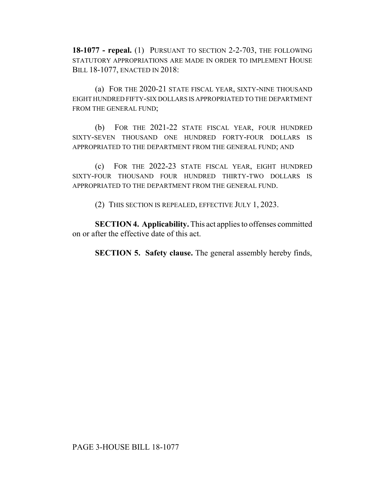**18-1077 - repeal.** (1) PURSUANT TO SECTION 2-2-703, THE FOLLOWING STATUTORY APPROPRIATIONS ARE MADE IN ORDER TO IMPLEMENT HOUSE BILL 18-1077, ENACTED IN 2018:

(a) FOR THE 2020-21 STATE FISCAL YEAR, SIXTY-NINE THOUSAND EIGHT HUNDRED FIFTY-SIX DOLLARS IS APPROPRIATED TO THE DEPARTMENT FROM THE GENERAL FUND;

(b) FOR THE 2021-22 STATE FISCAL YEAR, FOUR HUNDRED SIXTY-SEVEN THOUSAND ONE HUNDRED FORTY-FOUR DOLLARS IS APPROPRIATED TO THE DEPARTMENT FROM THE GENERAL FUND; AND

(c) FOR THE 2022-23 STATE FISCAL YEAR, EIGHT HUNDRED SIXTY-FOUR THOUSAND FOUR HUNDRED THIRTY-TWO DOLLARS IS APPROPRIATED TO THE DEPARTMENT FROM THE GENERAL FUND.

(2) THIS SECTION IS REPEALED, EFFECTIVE JULY 1, 2023.

**SECTION 4. Applicability.** This act applies to offenses committed on or after the effective date of this act.

**SECTION 5. Safety clause.** The general assembly hereby finds,